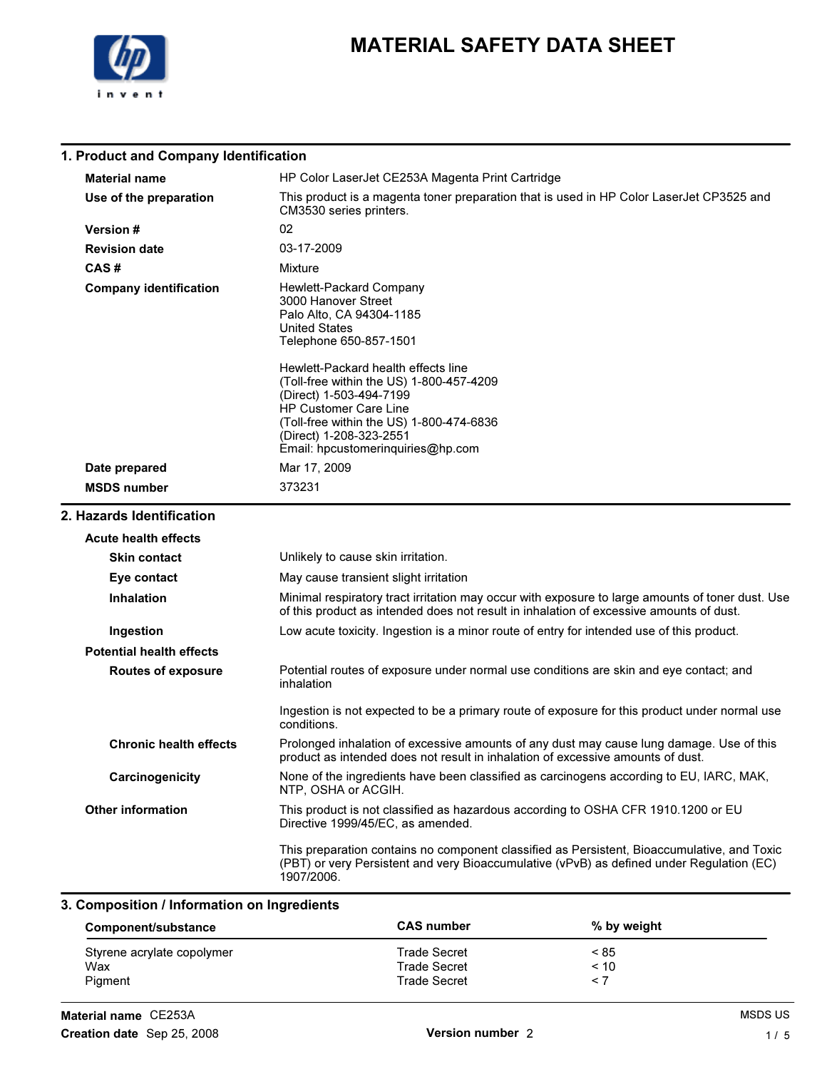

| 1. Product and Company Identification |                                                                                                                                                                                                                                                 |
|---------------------------------------|-------------------------------------------------------------------------------------------------------------------------------------------------------------------------------------------------------------------------------------------------|
| <b>Material name</b>                  | HP Color LaserJet CE253A Magenta Print Cartridge                                                                                                                                                                                                |
| Use of the preparation                | This product is a magenta toner preparation that is used in HP Color LaserJet CP3525 and<br>CM3530 series printers.                                                                                                                             |
| Version #                             | 02                                                                                                                                                                                                                                              |
| <b>Revision date</b>                  | 03-17-2009                                                                                                                                                                                                                                      |
| CAS#                                  | Mixture                                                                                                                                                                                                                                         |
| <b>Company identification</b>         | Hewlett-Packard Company<br>3000 Hanover Street<br>Palo Alto, CA 94304-1185<br><b>United States</b><br>Telephone 650-857-1501                                                                                                                    |
|                                       | Hewlett-Packard health effects line<br>(Toll-free within the US) 1-800-457-4209<br>(Direct) 1-503-494-7199<br>HP Customer Care Line<br>(Toll-free within the US) 1-800-474-6836<br>(Direct) 1-208-323-2551<br>Email: hpcustomerinquiries@hp.com |
| Date prepared                         | Mar 17, 2009                                                                                                                                                                                                                                    |
| <b>MSDS number</b>                    | 373231                                                                                                                                                                                                                                          |
| 2. Hazards Identification             |                                                                                                                                                                                                                                                 |
| <b>Acute health effects</b>           |                                                                                                                                                                                                                                                 |
| <b>Skin contact</b>                   | Unlikely to cause skin irritation.                                                                                                                                                                                                              |
| Eye contact                           | May cause transient slight irritation                                                                                                                                                                                                           |
| <b>Inhalation</b>                     | Minimal respiratory tract irritation may occur with exposure to large amounts of toner dust. Use<br>of this product as intended does not result in inhalation of excessive amounts of dust.                                                     |
| Ingestion                             | Low acute toxicity. Ingestion is a minor route of entry for intended use of this product.                                                                                                                                                       |
| <b>Potential health effects</b>       |                                                                                                                                                                                                                                                 |
| <b>Routes of exposure</b>             | Potential routes of exposure under normal use conditions are skin and eye contact; and<br>inhalation                                                                                                                                            |
|                                       | Ingestion is not expected to be a primary route of exposure for this product under normal use<br>conditions.                                                                                                                                    |
| <b>Chronic health effects</b>         | Prolonged inhalation of excessive amounts of any dust may cause lung damage. Use of this<br>product as intended does not result in inhalation of excessive amounts of dust.                                                                     |
| Carcinogenicity                       | None of the ingredients have been classified as carcinogens according to EU, IARC, MAK,<br>NTP, OSHA or ACGIH.                                                                                                                                  |
| <b>Other information</b>              | This product is not classified as hazardous according to OSHA CFR 1910.1200 or EU<br>Directive 1999/45/EC, as amended.                                                                                                                          |
|                                       | This preparation contains no component classified as Persistent, Bioaccumulative, and Toxic<br>(PBT) or very Persistent and very Bioaccumulative (vPvB) as defined under Regulation (EC)<br>1907/2006.                                          |

#### 3. Composition / Information on Ingredients

| Component/substance        | <b>CAS number</b>   | % by weight |
|----------------------------|---------------------|-------------|
| Styrene acrylate copolymer | <b>Trade Secret</b> | < 85        |
| Wax                        | <b>Trade Secret</b> | < 10        |
| Pigment                    | <b>Trade Secret</b> |             |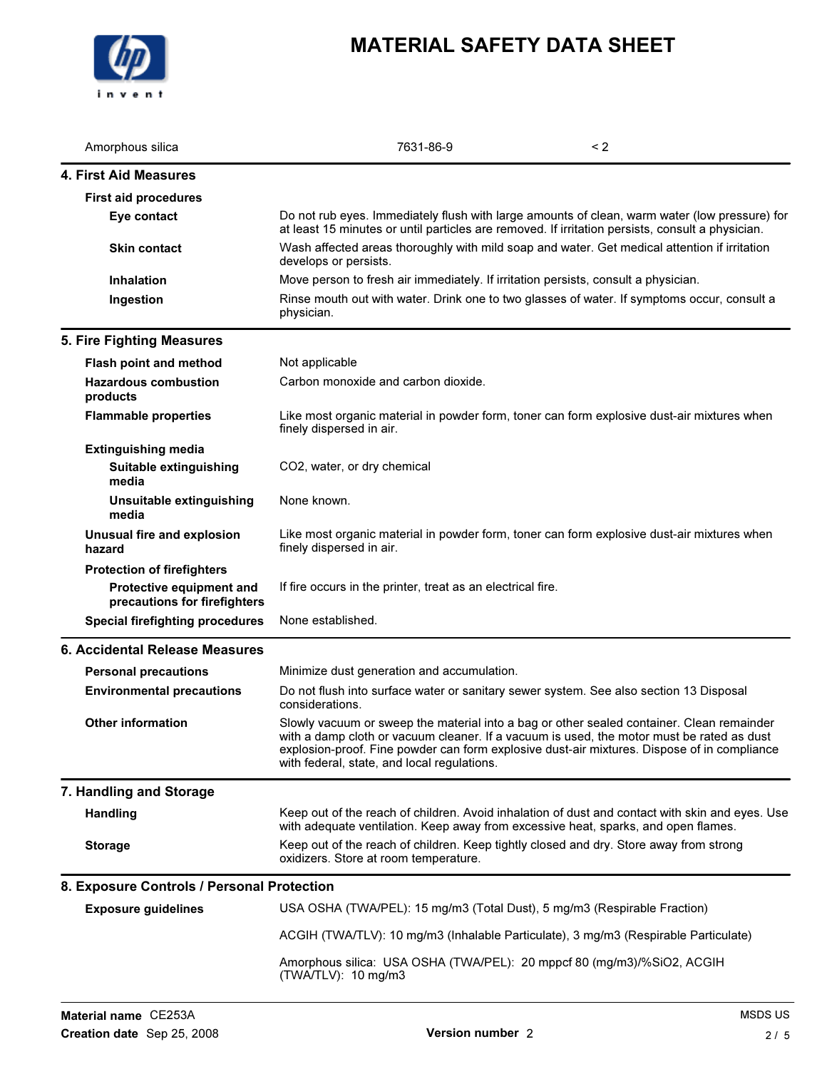

| Amorphous silica                                         | 7631-86-9                                                                                                                                                                                                                                                                                                                            | $\leq$ 2 |
|----------------------------------------------------------|--------------------------------------------------------------------------------------------------------------------------------------------------------------------------------------------------------------------------------------------------------------------------------------------------------------------------------------|----------|
| <b>4. First Aid Measures</b>                             |                                                                                                                                                                                                                                                                                                                                      |          |
| <b>First aid procedures</b>                              |                                                                                                                                                                                                                                                                                                                                      |          |
| Eye contact                                              | Do not rub eyes. Immediately flush with large amounts of clean, warm water (low pressure) for<br>at least 15 minutes or until particles are removed. If irritation persists, consult a physician.                                                                                                                                    |          |
| <b>Skin contact</b>                                      | Wash affected areas thoroughly with mild soap and water. Get medical attention if irritation<br>develops or persists.                                                                                                                                                                                                                |          |
| <b>Inhalation</b>                                        | Move person to fresh air immediately. If irritation persists, consult a physician.                                                                                                                                                                                                                                                   |          |
| Ingestion                                                | Rinse mouth out with water. Drink one to two glasses of water. If symptoms occur, consult a<br>physician.                                                                                                                                                                                                                            |          |
| 5. Fire Fighting Measures                                |                                                                                                                                                                                                                                                                                                                                      |          |
| Flash point and method                                   | Not applicable                                                                                                                                                                                                                                                                                                                       |          |
| <b>Hazardous combustion</b><br>products                  | Carbon monoxide and carbon dioxide.                                                                                                                                                                                                                                                                                                  |          |
| <b>Flammable properties</b>                              | Like most organic material in powder form, toner can form explosive dust-air mixtures when<br>finely dispersed in air.                                                                                                                                                                                                               |          |
| <b>Extinguishing media</b>                               |                                                                                                                                                                                                                                                                                                                                      |          |
| Suitable extinguishing<br>media                          | CO2, water, or dry chemical                                                                                                                                                                                                                                                                                                          |          |
| Unsuitable extinguishing<br>media                        | None known.                                                                                                                                                                                                                                                                                                                          |          |
| Unusual fire and explosion<br>hazard                     | Like most organic material in powder form, toner can form explosive dust-air mixtures when<br>finely dispersed in air.                                                                                                                                                                                                               |          |
| <b>Protection of firefighters</b>                        |                                                                                                                                                                                                                                                                                                                                      |          |
| Protective equipment and<br>precautions for firefighters | If fire occurs in the printer, treat as an electrical fire.                                                                                                                                                                                                                                                                          |          |
| <b>Special firefighting procedures</b>                   | None established.                                                                                                                                                                                                                                                                                                                    |          |
| 6. Accidental Release Measures                           |                                                                                                                                                                                                                                                                                                                                      |          |
| <b>Personal precautions</b>                              | Minimize dust generation and accumulation.                                                                                                                                                                                                                                                                                           |          |
| <b>Environmental precautions</b>                         | Do not flush into surface water or sanitary sewer system. See also section 13 Disposal<br>considerations.                                                                                                                                                                                                                            |          |
| <b>Other information</b>                                 | Slowly vacuum or sweep the material into a bag or other sealed container. Clean remainder<br>with a damp cloth or vacuum cleaner. If a vacuum is used, the motor must be rated as dust<br>explosion-proof. Fine powder can form explosive dust-air mixtures. Dispose of in compliance<br>with federal, state, and local regulations. |          |
| 7. Handling and Storage                                  |                                                                                                                                                                                                                                                                                                                                      |          |
| <b>Handling</b>                                          | Keep out of the reach of children. Avoid inhalation of dust and contact with skin and eyes. Use<br>with adequate ventilation. Keep away from excessive heat, sparks, and open flames.                                                                                                                                                |          |
| <b>Storage</b>                                           | Keep out of the reach of children. Keep tightly closed and dry. Store away from strong<br>oxidizers. Store at room temperature.                                                                                                                                                                                                      |          |
| 8. Exposure Controls / Personal Protection               |                                                                                                                                                                                                                                                                                                                                      |          |
| <b>Exposure guidelines</b>                               | USA OSHA (TWA/PEL): 15 mg/m3 (Total Dust), 5 mg/m3 (Respirable Fraction)                                                                                                                                                                                                                                                             |          |
|                                                          | ACGIH (TWA/TLV): 10 mg/m3 (Inhalable Particulate), 3 mg/m3 (Respirable Particulate)                                                                                                                                                                                                                                                  |          |
|                                                          | Amorphous silica: USA OSHA (TWA/PEL): 20 mppcf 80 (mg/m3)/%SiO2, ACGIH<br>(TWA/TLV): 10 mg/m3                                                                                                                                                                                                                                        |          |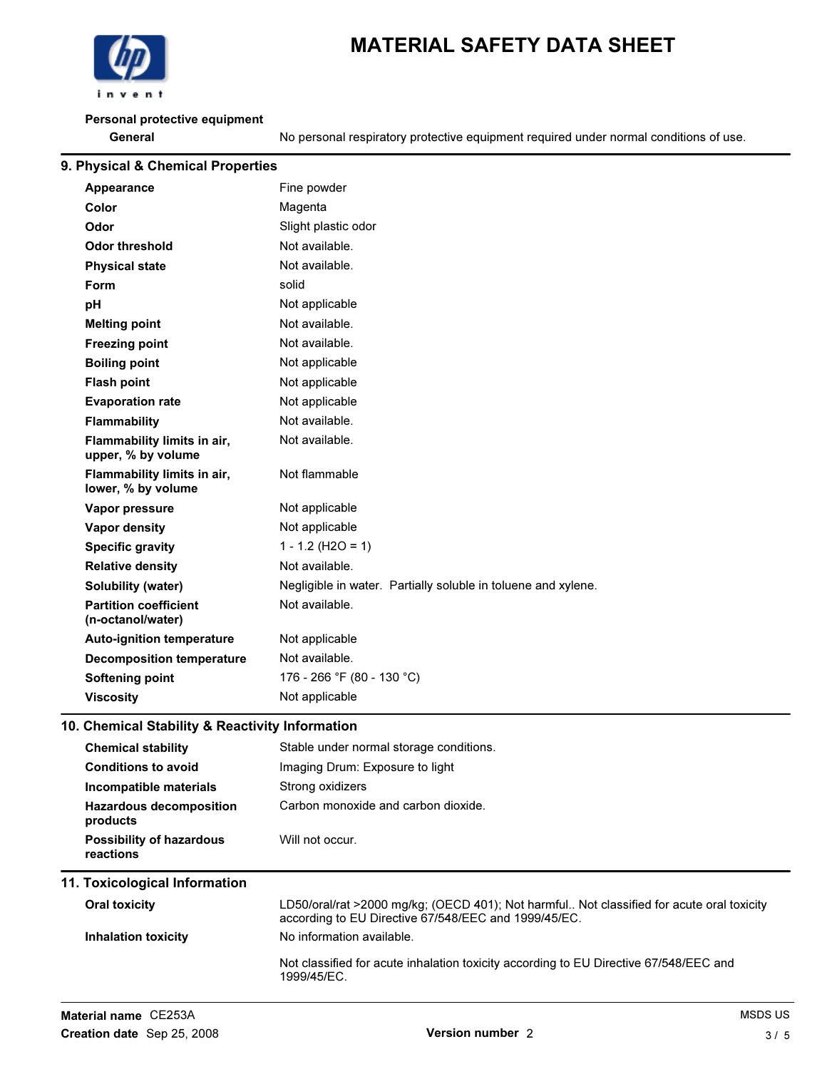

#### Personal protective equipment

General Seneral No personal respiratory protective equipment required under normal conditions of use.

| 9. Physical & Chemical Properties                 |                                                               |  |  |
|---------------------------------------------------|---------------------------------------------------------------|--|--|
| Appearance                                        | Fine powder                                                   |  |  |
| Color                                             | Magenta                                                       |  |  |
| Odor                                              | Slight plastic odor                                           |  |  |
| <b>Odor threshold</b>                             | Not available.                                                |  |  |
| <b>Physical state</b>                             | Not available.                                                |  |  |
| <b>Form</b>                                       | solid                                                         |  |  |
| pH                                                | Not applicable                                                |  |  |
| <b>Melting point</b>                              | Not available.                                                |  |  |
| <b>Freezing point</b>                             | Not available.                                                |  |  |
| <b>Boiling point</b>                              | Not applicable                                                |  |  |
| <b>Flash point</b>                                | Not applicable                                                |  |  |
| <b>Evaporation rate</b>                           | Not applicable                                                |  |  |
| <b>Flammability</b>                               | Not available.                                                |  |  |
| Flammability limits in air,<br>upper, % by volume | Not available.                                                |  |  |
| Flammability limits in air,<br>lower, % by volume | Not flammable                                                 |  |  |
| Vapor pressure                                    | Not applicable                                                |  |  |
| <b>Vapor density</b>                              | Not applicable                                                |  |  |
| <b>Specific gravity</b>                           | $1 - 1.2$ (H2O = 1)                                           |  |  |
| <b>Relative density</b>                           | Not available.                                                |  |  |
| <b>Solubility (water)</b>                         | Negligible in water. Partially soluble in toluene and xylene. |  |  |
| <b>Partition coefficient</b><br>(n-octanol/water) | Not available.                                                |  |  |
| <b>Auto-ignition temperature</b>                  | Not applicable                                                |  |  |
| <b>Decomposition temperature</b>                  | Not available.                                                |  |  |
| <b>Softening point</b>                            | 176 - 266 °F (80 - 130 °C)                                    |  |  |
| <b>Viscosity</b>                                  | Not applicable                                                |  |  |
|                                                   |                                                               |  |  |

#### 10. Chemical Stability & Reactivity Information

|                                                                                                                                                                                                  | <b>Chemical stability</b>                    | Stable under normal storage conditions.                                                                                                           |  |  |
|--------------------------------------------------------------------------------------------------------------------------------------------------------------------------------------------------|----------------------------------------------|---------------------------------------------------------------------------------------------------------------------------------------------------|--|--|
| Imaging Drum: Exposure to light<br><b>Conditions to avoid</b><br>Strong oxidizers<br>Incompatible materials<br>Carbon monoxide and carbon dioxide.<br><b>Hazardous decomposition</b><br>products |                                              |                                                                                                                                                   |  |  |
|                                                                                                                                                                                                  |                                              |                                                                                                                                                   |  |  |
|                                                                                                                                                                                                  |                                              |                                                                                                                                                   |  |  |
|                                                                                                                                                                                                  | <b>Possibility of hazardous</b><br>reactions | Will not occur.                                                                                                                                   |  |  |
|                                                                                                                                                                                                  | 11. Toxicological Information                |                                                                                                                                                   |  |  |
|                                                                                                                                                                                                  |                                              |                                                                                                                                                   |  |  |
|                                                                                                                                                                                                  | <b>Oral toxicity</b>                         | LD50/oral/rat >2000 mg/kg; (OECD 401); Not harmful Not classified for acute oral toxicity<br>according to EU Directive 67/548/EEC and 1999/45/EC. |  |  |
|                                                                                                                                                                                                  | <b>Inhalation toxicity</b>                   | No information available.                                                                                                                         |  |  |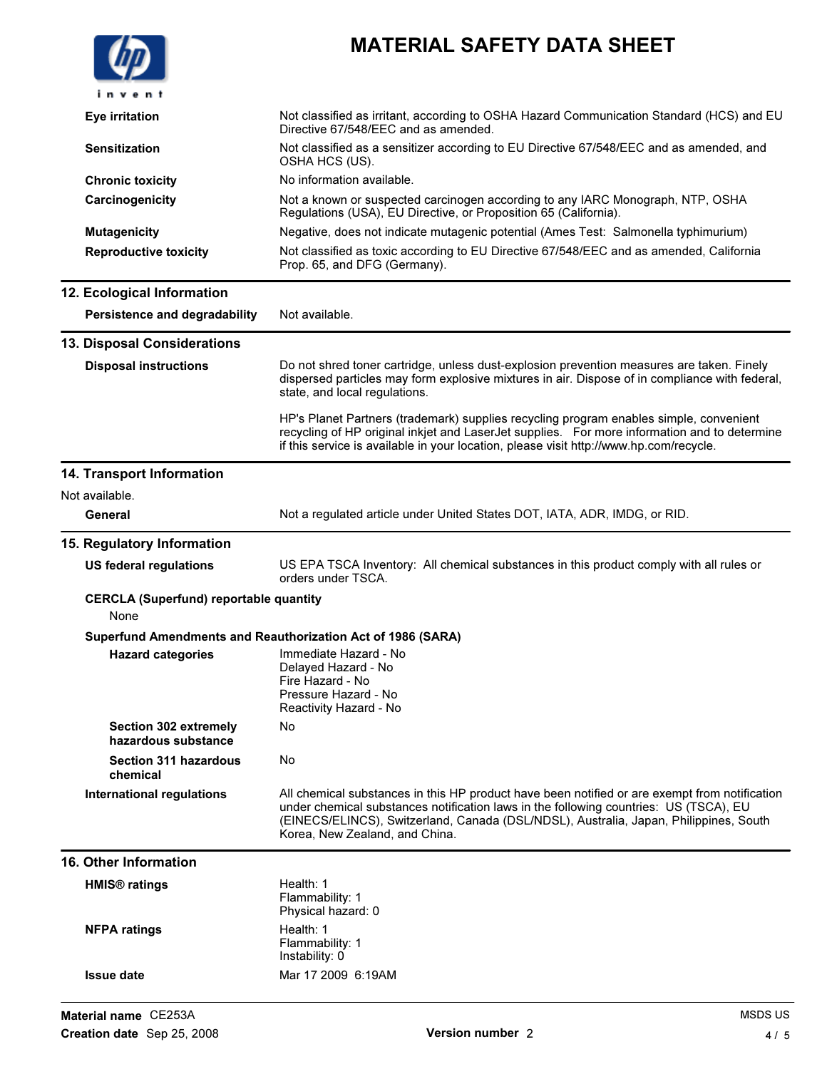|                           |                                                     | <b>MATERIAL SAFETY DATA SHEET</b>                                                                                                                                                                                                                                                                                 |
|---------------------------|-----------------------------------------------------|-------------------------------------------------------------------------------------------------------------------------------------------------------------------------------------------------------------------------------------------------------------------------------------------------------------------|
|                           | invent                                              |                                                                                                                                                                                                                                                                                                                   |
| <b>Eye irritation</b>     |                                                     | Not classified as irritant, according to OSHA Hazard Communication Standard (HCS) and EU<br>Directive 67/548/EEC and as amended.                                                                                                                                                                                  |
| <b>Sensitization</b>      |                                                     | Not classified as a sensitizer according to EU Directive 67/548/EEC and as amended, and<br>OSHA HCS (US).                                                                                                                                                                                                         |
|                           | <b>Chronic toxicity</b>                             | No information available.                                                                                                                                                                                                                                                                                         |
|                           | Carcinogenicity                                     | Not a known or suspected carcinogen according to any IARC Monograph, NTP, OSHA<br>Regulations (USA), EU Directive, or Proposition 65 (California).                                                                                                                                                                |
| <b>Mutagenicity</b>       |                                                     | Negative, does not indicate mutagenic potential (Ames Test: Salmonella typhimurium)                                                                                                                                                                                                                               |
|                           | <b>Reproductive toxicity</b>                        | Not classified as toxic according to EU Directive 67/548/EEC and as amended, California<br>Prop. 65, and DFG (Germany).                                                                                                                                                                                           |
|                           | 12. Ecological Information                          |                                                                                                                                                                                                                                                                                                                   |
|                           | Persistence and degradability                       | Not available.                                                                                                                                                                                                                                                                                                    |
|                           | 13. Disposal Considerations                         |                                                                                                                                                                                                                                                                                                                   |
|                           | <b>Disposal instructions</b>                        | Do not shred toner cartridge, unless dust-explosion prevention measures are taken. Finely<br>dispersed particles may form explosive mixtures in air. Dispose of in compliance with federal,<br>state, and local regulations.                                                                                      |
|                           |                                                     | HP's Planet Partners (trademark) supplies recycling program enables simple, convenient<br>recycling of HP original inkjet and LaserJet supplies. For more information and to determine<br>if this service is available in your location, please visit http://www.hp.com/recycle.                                  |
|                           | 14. Transport Information                           |                                                                                                                                                                                                                                                                                                                   |
| Not available.            |                                                     |                                                                                                                                                                                                                                                                                                                   |
| General                   |                                                     | Not a regulated article under United States DOT, IATA, ADR, IMDG, or RID.                                                                                                                                                                                                                                         |
|                           | 15. Regulatory Information                          |                                                                                                                                                                                                                                                                                                                   |
|                           | <b>US federal regulations</b>                       | US EPA TSCA Inventory: All chemical substances in this product comply with all rules or<br>orders under TSCA.                                                                                                                                                                                                     |
| None                      | <b>CERCLA (Superfund) reportable quantity</b>       |                                                                                                                                                                                                                                                                                                                   |
|                           |                                                     | Superfund Amendments and Reauthorization Act of 1986 (SARA)                                                                                                                                                                                                                                                       |
|                           | <b>Hazard categories</b>                            | Immediate Hazard - No<br>Delayed Hazard - No<br>Fire Hazard - No<br>Pressure Hazard - No<br>Reactivity Hazard - No                                                                                                                                                                                                |
|                           | <b>Section 302 extremely</b><br>hazardous substance | No                                                                                                                                                                                                                                                                                                                |
|                           | <b>Section 311 hazardous</b><br>chemical            | No                                                                                                                                                                                                                                                                                                                |
|                           | <b>International regulations</b>                    | All chemical substances in this HP product have been notified or are exempt from notification<br>under chemical substances notification laws in the following countries: US (TSCA), EU<br>(EINECS/ELINCS), Switzerland, Canada (DSL/NDSL), Australia, Japan, Philippines, South<br>Korea, New Zealand, and China. |
|                           | <b>16. Other Information</b>                        |                                                                                                                                                                                                                                                                                                                   |
| HMIS <sup>®</sup> ratings |                                                     | Health: 1<br>Flammability: 1<br>Physical hazard: 0                                                                                                                                                                                                                                                                |
| <b>NFPA ratings</b>       |                                                     | Health: 1<br>Flammability: 1<br>Instability: 0                                                                                                                                                                                                                                                                    |
| <b>Issue date</b>         |                                                     | Mar 17 2009 6:19AM                                                                                                                                                                                                                                                                                                |